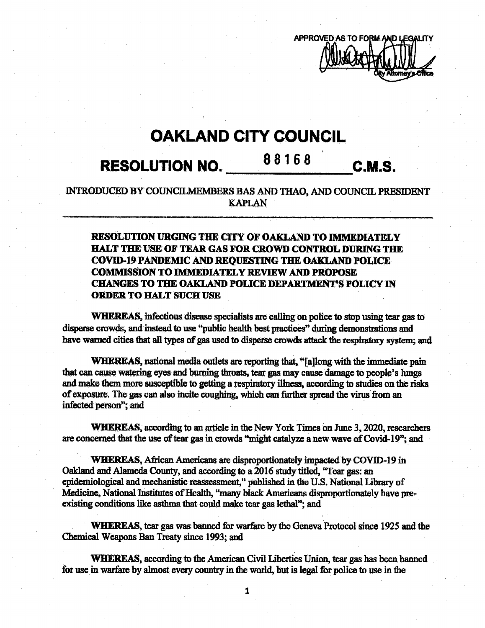

## **OAKLAND CITY COUNCIL**

# **88168 RESOLUTION NO. C.M.S.**

### INTRODUCED BY COUNCILMEMBERS BAS AND THAO, AND COUNCIL PRESIDENT KAPLAN

### RESOLUTION URGING THE CITY OF OAKLAND TO IMMEDIATELY HALT THE USE OF TEAR GAS FOR **CROWD** CONTROL DURING THE **COVID-19 PANDEMIC** AND REQUESTING THE OAKLAND POLICE COMMISSION TO IMMEDIATELY REVIEWAND PROPOSE CHANGES TO THE OAKLAND POLICE DEPARTMENT'S POLICY IN ORDER TO HALT SUCH USE

WHEREAS, infectious disease specialists are calling on police to stop using tear gas to disperse crowds, and instead to use "public health best practices" during demonstrations and have warned cities that all types of gas used to disperse crowds attack the respiratory system; and

WHEREAS, national media outlets are reporting that, "[a]long with the immediate pain that can cause watering eyes and burning throats, tear gas may cause damage to people's lungs and make them more susceptible to getting a respiratory illness, according to studies on the risks of exposure. The gas can also incite coughing, which can further spread the virus from an infected person"; and

WHEREAS, according to an article in the New York Times on June 3,2020, researchers are concerned that the use of tear gas in crowds "might catalyze a new wave of Covid-19"; and

WHEREAS, African Americans are disproportionately impacted by COVID-19 in Oakland and Alameda County, and according to a 2016 study titled, "Tear gas: an epidemiological and mechanistic reassessment," published in the U.S. National Library of Medicine, National Institutes of Health, "many black Americans disproportionately have preexisting conditions like asthma that could make tear gas lethal"; and

WHEREAS, tear gas was banned for warfare by the Geneva Protocol since 1925 and the Chemical Weapons Ban Treaty since 1993; and

WHEREAS, according to the American Civil Liberties Union, tear gas has been banned for use in warfare by almost every country in the world, but is legal for police to use in the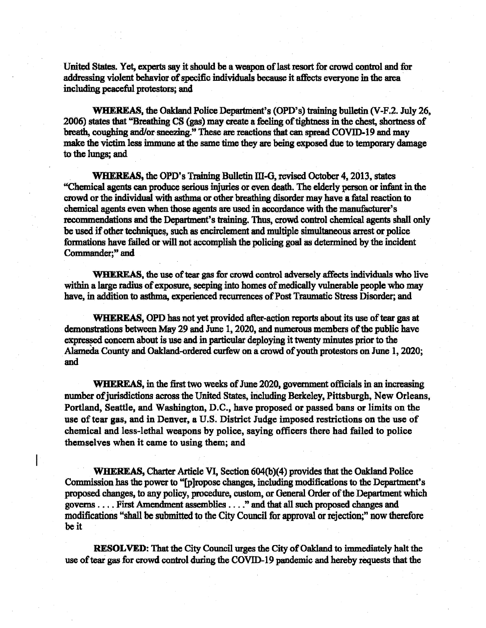United States. Yet, experts say it should be a weapon of last resort for crowd control and for addressing violent behavior of specific individuals because it affects everyone in the area including peaceful protestors; and

**WHEREAS,** the Oakland Police Department's (OPD's) training bulletin (V-F.2. July 26, 2006) states that "Breathing CS (gas) may create a feeling of tightness in the chest, shortness of breath, coughing and/or sneezing." These are reactions that can spread COVID-19 and may make the victim less immune at the same time they are being exposed due to temporary damage to the lungs; and

WHEREAS, the OPD's Training Bulletin III-G, revised October 4, 2013, states "Chemical agents can produce serious injuries or even death. The elderly person or infant in the crowd or the individual with asthma or other breathing disordermay have a fatal reaction to chemical agents even when those agents are used in accordance with the manufacturer's recommendations and the Department's training. Thus, crowd control chemical agents shall only be used if other techniques, such as encirclement and multiple simultaneous arrest or police formations have failed or will not accomplish the policing goal as determined by the incident Commander;" and

WHEREAS, the use of tear gas for crowd control adversely affects individuals who live within a large radius of exposure, seeping into homes of medically vulnerable people who may have, in addition to asthma, experienced recurrences of Post Traumatic Stress Disorder; and

WHEREAS, OPD has not yet provided after-action reports about its use of tear gas at demonstrations between May 29 and June 1, 2020, and numerous members of the public have expressed concern about is use and in particular deploying it twentyminutes priorto the Alameda County and Oakland-ordered curfew on a crowd of youth protestors on June 1, 2020; and

**WHEREAS**, in the first two weeks of June 2020, government officials in an increasing number of jurisdictions across the United States, including Berkeley, Pittsburgh, New Orleans, Portland, Seattle, and Washington, D.C., have proposed or passed bans or limits on the use of tear gas, and in Denver, a U.S. District Judge imposed restrictions on the use of chemical and less-lethal weapons by police, saying officers there had failed to police themselves when it came to using them; and

**WHEREAS,** Charter Article VI, Section 604(b)(4) provides that the Oakland Police Commission has the power to "[p]ropose changes, including modifications to the Department's proposed changes, to any policy, procedure, custom, or General Order ofthe Department which governs.... First Amendment assemblies\_\_ " and that all such proposed changes and modifications "shall be submitted to the City Council for approval or rejection;" now therefore be it

**l**

**RESOLVED:** That the City Council urges the City of Oakland to immediately halt the use of tear gas for crowd control during the COVID-19 pandemic and hereby requests that the